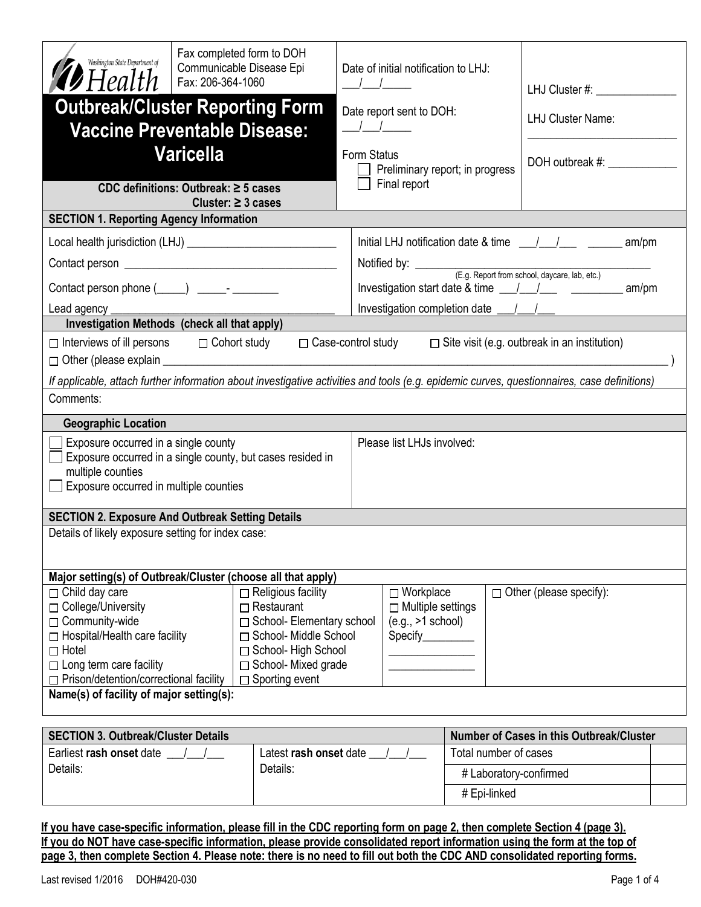| Washington State Department of<br>$\blacktriangleright$ Health                                                                                                                                          | Fax completed form to DOH<br>Communicable Disease Epi<br>Fax: 206-364-1060                                                                                                          |                                                                                                        | Date of initial notification to LHJ: |                                 | LHJ Cluster #: _____________                                                                                                                |  |  |  |  |
|---------------------------------------------------------------------------------------------------------------------------------------------------------------------------------------------------------|-------------------------------------------------------------------------------------------------------------------------------------------------------------------------------------|--------------------------------------------------------------------------------------------------------|--------------------------------------|---------------------------------|---------------------------------------------------------------------------------------------------------------------------------------------|--|--|--|--|
| <b>Outbreak/Cluster Reporting Form</b><br><b>Vaccine Preventable Disease:</b>                                                                                                                           |                                                                                                                                                                                     |                                                                                                        | Date report sent to DOH:             |                                 | <b>LHJ Cluster Name:</b>                                                                                                                    |  |  |  |  |
|                                                                                                                                                                                                         | <b>Varicella</b>                                                                                                                                                                    | Form Status                                                                                            | Final report                         | Preliminary report; in progress | DOH outbreak #:                                                                                                                             |  |  |  |  |
|                                                                                                                                                                                                         | CDC definitions: Outbreak: $\geq$ 5 cases<br>Cluster: $\geq$ 3 cases                                                                                                                |                                                                                                        |                                      |                                 |                                                                                                                                             |  |  |  |  |
| <b>SECTION 1. Reporting Agency Information</b>                                                                                                                                                          |                                                                                                                                                                                     |                                                                                                        |                                      |                                 |                                                                                                                                             |  |  |  |  |
|                                                                                                                                                                                                         |                                                                                                                                                                                     |                                                                                                        |                                      |                                 |                                                                                                                                             |  |  |  |  |
|                                                                                                                                                                                                         |                                                                                                                                                                                     |                                                                                                        |                                      |                                 |                                                                                                                                             |  |  |  |  |
| Contact person phone (_____) ______- ________                                                                                                                                                           |                                                                                                                                                                                     |                                                                                                        |                                      |                                 | Investigation start date & time $\frac{1}{\sqrt{2}}$<br>am/m                                                                                |  |  |  |  |
| Lead agency _                                                                                                                                                                                           |                                                                                                                                                                                     |                                                                                                        |                                      |                                 |                                                                                                                                             |  |  |  |  |
|                                                                                                                                                                                                         | Investigation Methods (check all that apply)                                                                                                                                        |                                                                                                        |                                      |                                 |                                                                                                                                             |  |  |  |  |
| $\Box$ Interviews of ill persons $\Box$ Cohort study                                                                                                                                                    |                                                                                                                                                                                     |                                                                                                        |                                      |                                 | $\Box$ Case-control study $\Box$ Site visit (e.g. outbreak in an institution)                                                               |  |  |  |  |
|                                                                                                                                                                                                         |                                                                                                                                                                                     |                                                                                                        |                                      |                                 | If applicable, attach further information about investigative activities and tools (e.g. epidemic curves, questionnaires, case definitions) |  |  |  |  |
| Comments:                                                                                                                                                                                               |                                                                                                                                                                                     |                                                                                                        |                                      |                                 |                                                                                                                                             |  |  |  |  |
| <b>Geographic Location</b>                                                                                                                                                                              |                                                                                                                                                                                     |                                                                                                        |                                      |                                 |                                                                                                                                             |  |  |  |  |
| Please list LHJs involved:<br>Exposure occurred in a single county<br>Exposure occurred in a single county, but cases resided in<br>multiple counties<br>Exposure occurred in multiple counties         |                                                                                                                                                                                     |                                                                                                        |                                      |                                 |                                                                                                                                             |  |  |  |  |
| <b>SECTION 2. Exposure And Outbreak Setting Details</b>                                                                                                                                                 |                                                                                                                                                                                     |                                                                                                        |                                      |                                 |                                                                                                                                             |  |  |  |  |
| Details of likely exposure setting for index case:                                                                                                                                                      |                                                                                                                                                                                     |                                                                                                        |                                      |                                 |                                                                                                                                             |  |  |  |  |
| Major setting(s) of Outbreak/Cluster (choose all that apply)                                                                                                                                            |                                                                                                                                                                                     |                                                                                                        | $\Box$ Workplace                     |                                 |                                                                                                                                             |  |  |  |  |
| $\Box$ Child day care<br>□ College/University<br>□ Community-wide<br>□ Hospital/Health care facility<br>$\Box$ Hotel<br>$\Box$ Long term care facility<br>$\Box$ Prison/detention/correctional facility | $\Box$ Religious facility<br>$\Box$ Restaurant<br>□ School- Elementary school<br>□ School- Middle School<br>□ School- High School<br>□ School- Mixed grade<br>$\Box$ Sporting event | $\Box$ Other (please specify):<br>$\Box$ Multiple settings<br>$(e.g., >1$ school)<br>Specify__________ |                                      |                                 |                                                                                                                                             |  |  |  |  |
| Name(s) of facility of major setting(s):                                                                                                                                                                |                                                                                                                                                                                     |                                                                                                        |                                      |                                 |                                                                                                                                             |  |  |  |  |
| Number of Cases in this Outbreak/Cluster<br><b>SECTION 3. Outbreak/Cluster Details</b>                                                                                                                  |                                                                                                                                                                                     |                                                                                                        |                                      |                                 |                                                                                                                                             |  |  |  |  |
| Earliest rash onset date / /                                                                                                                                                                            |                                                                                                                                                                                     | Latest rash onset date /                                                                               |                                      | Total number of cases           |                                                                                                                                             |  |  |  |  |
| Details:                                                                                                                                                                                                | Details:                                                                                                                                                                            |                                                                                                        |                                      | # Laboratory-confirmed          |                                                                                                                                             |  |  |  |  |
|                                                                                                                                                                                                         |                                                                                                                                                                                     |                                                                                                        | # Epi-linked                         |                                 |                                                                                                                                             |  |  |  |  |

**If you have case-specific information, please fill in the CDC reporting form on page 2, then complete Section 4 (page 3). If you do NOT have case-specific information, please provide consolidated report information using the form at the top of page 3, then complete Section 4. Please note: there is no need to fill out both the CDC AND consolidated reporting forms.**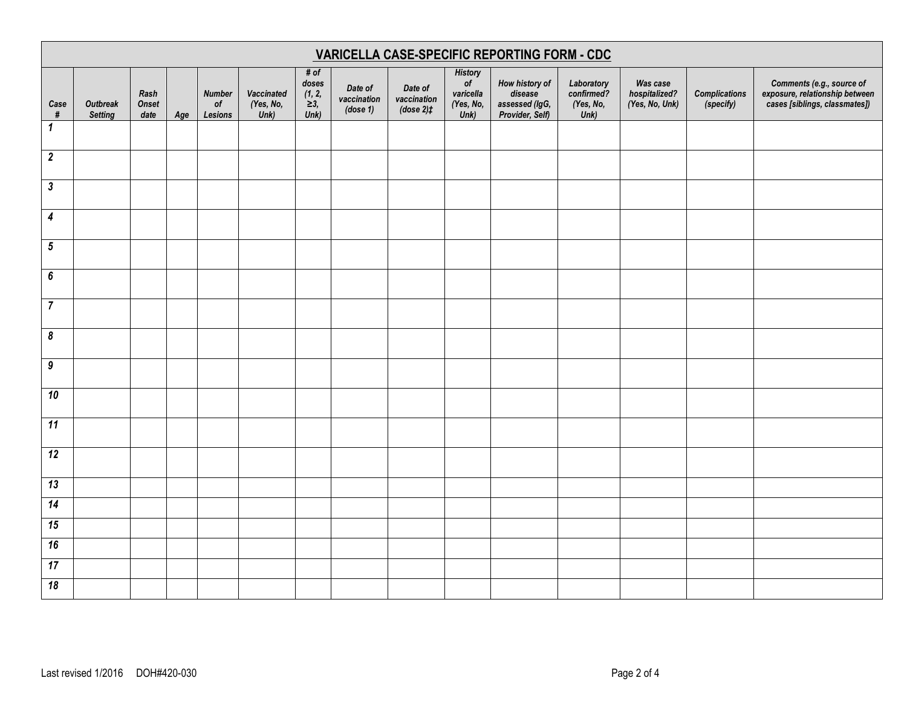| VARICELLA CASE-SPECIFIC REPORTING FORM - CDC |                                   |                              |     |                                                        |                                 |                                               |                                    |                                       |                                                        |                                                                |                                               |                                             |                                   |                                                                                              |
|----------------------------------------------|-----------------------------------|------------------------------|-----|--------------------------------------------------------|---------------------------------|-----------------------------------------------|------------------------------------|---------------------------------------|--------------------------------------------------------|----------------------------------------------------------------|-----------------------------------------------|---------------------------------------------|-----------------------------------|----------------------------------------------------------------------------------------------|
| Case<br>#                                    | <b>Outbreak</b><br><b>Setting</b> | Rash<br><b>Onset</b><br>date | Age | <b>Number</b><br>$\mathfrak{o}\mathfrak{f}$<br>Lesions | Vaccinated<br>(Yes, No,<br>Unk) | # of<br>doses<br>(1, 2,<br>$\geq 3$ ,<br>Unk) | Date of<br>vaccination<br>(dose 1) | Date of<br>vaccination<br>$(dose 2)+$ | <b>History</b><br>of<br>varicella<br>(Yes, No,<br>Unk) | How history of<br>disease<br>assessed (IgG,<br>Provider, Self) | Laboratory<br>confirmed?<br>(Yes, No,<br>Unk) | Was case<br>hospitalized?<br>(Yes, No, Unk) | <b>Complications</b><br>(specify) | Comments (e.g., source of<br>exposure, relationship between<br>cases [siblings, classmates]) |
| $\mathbf{1}$                                 |                                   |                              |     |                                                        |                                 |                                               |                                    |                                       |                                                        |                                                                |                                               |                                             |                                   |                                                                                              |
| $\boldsymbol{2}$                             |                                   |                              |     |                                                        |                                 |                                               |                                    |                                       |                                                        |                                                                |                                               |                                             |                                   |                                                                                              |
| $\boldsymbol{\mathfrak{z}}$                  |                                   |                              |     |                                                        |                                 |                                               |                                    |                                       |                                                        |                                                                |                                               |                                             |                                   |                                                                                              |
| $\boldsymbol{4}$                             |                                   |                              |     |                                                        |                                 |                                               |                                    |                                       |                                                        |                                                                |                                               |                                             |                                   |                                                                                              |
| ${\bf 5}$                                    |                                   |                              |     |                                                        |                                 |                                               |                                    |                                       |                                                        |                                                                |                                               |                                             |                                   |                                                                                              |
| 6                                            |                                   |                              |     |                                                        |                                 |                                               |                                    |                                       |                                                        |                                                                |                                               |                                             |                                   |                                                                                              |
| $\overline{7}$                               |                                   |                              |     |                                                        |                                 |                                               |                                    |                                       |                                                        |                                                                |                                               |                                             |                                   |                                                                                              |
| $\pmb{8}$                                    |                                   |                              |     |                                                        |                                 |                                               |                                    |                                       |                                                        |                                                                |                                               |                                             |                                   |                                                                                              |
| $\boldsymbol{9}$                             |                                   |                              |     |                                                        |                                 |                                               |                                    |                                       |                                                        |                                                                |                                               |                                             |                                   |                                                                                              |
| 10                                           |                                   |                              |     |                                                        |                                 |                                               |                                    |                                       |                                                        |                                                                |                                               |                                             |                                   |                                                                                              |
| $\overline{11}$                              |                                   |                              |     |                                                        |                                 |                                               |                                    |                                       |                                                        |                                                                |                                               |                                             |                                   |                                                                                              |
| $\overline{12}$                              |                                   |                              |     |                                                        |                                 |                                               |                                    |                                       |                                                        |                                                                |                                               |                                             |                                   |                                                                                              |
| 13                                           |                                   |                              |     |                                                        |                                 |                                               |                                    |                                       |                                                        |                                                                |                                               |                                             |                                   |                                                                                              |
| $\overline{14}$                              |                                   |                              |     |                                                        |                                 |                                               |                                    |                                       |                                                        |                                                                |                                               |                                             |                                   |                                                                                              |
| 15                                           |                                   |                              |     |                                                        |                                 |                                               |                                    |                                       |                                                        |                                                                |                                               |                                             |                                   |                                                                                              |
| 16                                           |                                   |                              |     |                                                        |                                 |                                               |                                    |                                       |                                                        |                                                                |                                               |                                             |                                   |                                                                                              |
| 17                                           |                                   |                              |     |                                                        |                                 |                                               |                                    |                                       |                                                        |                                                                |                                               |                                             |                                   |                                                                                              |
| 18                                           |                                   |                              |     |                                                        |                                 |                                               |                                    |                                       |                                                        |                                                                |                                               |                                             |                                   |                                                                                              |